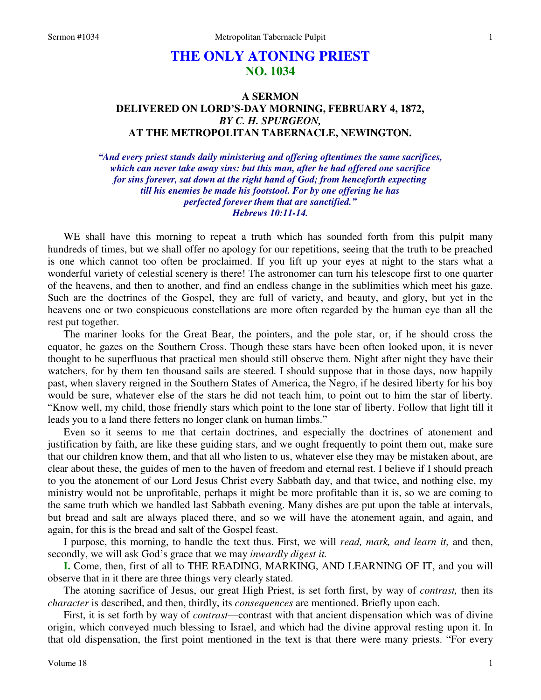# **THE ONLY ATONING PRIEST NO. 1034**

## **A SERMON DELIVERED ON LORD'S-DAY MORNING, FEBRUARY 4, 1872,**  *BY C. H. SPURGEON,*  **AT THE METROPOLITAN TABERNACLE, NEWINGTON.**

*"And every priest stands daily ministering and offering oftentimes the same sacrifices, which can never take away sins: but this man, after he had offered one sacrifice for sins forever, sat down at the right hand of God; from henceforth expecting till his enemies be made his footstool. For by one offering he has perfected forever them that are sanctified." Hebrews 10:11-14.* 

WE shall have this morning to repeat a truth which has sounded forth from this pulpit many hundreds of times, but we shall offer no apology for our repetitions, seeing that the truth to be preached is one which cannot too often be proclaimed. If you lift up your eyes at night to the stars what a wonderful variety of celestial scenery is there! The astronomer can turn his telescope first to one quarter of the heavens, and then to another, and find an endless change in the sublimities which meet his gaze. Such are the doctrines of the Gospel, they are full of variety, and beauty, and glory, but yet in the heavens one or two conspicuous constellations are more often regarded by the human eye than all the rest put together.

The mariner looks for the Great Bear, the pointers, and the pole star, or, if he should cross the equator, he gazes on the Southern Cross. Though these stars have been often looked upon, it is never thought to be superfluous that practical men should still observe them. Night after night they have their watchers, for by them ten thousand sails are steered. I should suppose that in those days, now happily past, when slavery reigned in the Southern States of America, the Negro, if he desired liberty for his boy would be sure, whatever else of the stars he did not teach him, to point out to him the star of liberty. "Know well, my child, those friendly stars which point to the lone star of liberty. Follow that light till it leads you to a land there fetters no longer clank on human limbs."

Even so it seems to me that certain doctrines, and especially the doctrines of atonement and justification by faith, are like these guiding stars, and we ought frequently to point them out, make sure that our children know them, and that all who listen to us, whatever else they may be mistaken about, are clear about these, the guides of men to the haven of freedom and eternal rest. I believe if I should preach to you the atonement of our Lord Jesus Christ every Sabbath day, and that twice, and nothing else, my ministry would not be unprofitable, perhaps it might be more profitable than it is, so we are coming to the same truth which we handled last Sabbath evening. Many dishes are put upon the table at intervals, but bread and salt are always placed there, and so we will have the atonement again, and again, and again, for this is the bread and salt of the Gospel feast.

I purpose, this morning, to handle the text thus. First, we will *read, mark, and learn it,* and then, secondly, we will ask God's grace that we may *inwardly digest it.* 

**I.** Come, then, first of all to THE READING, MARKING, AND LEARNING OF IT, and you will observe that in it there are three things very clearly stated.

The atoning sacrifice of Jesus, our great High Priest, is set forth first, by way of *contrast,* then its *character* is described, and then, thirdly, its *consequences* are mentioned. Briefly upon each.

First, it is set forth by way of *contrast*—contrast with that ancient dispensation which was of divine origin, which conveyed much blessing to Israel, and which had the divine approval resting upon it. In that old dispensation, the first point mentioned in the text is that there were many priests. "For every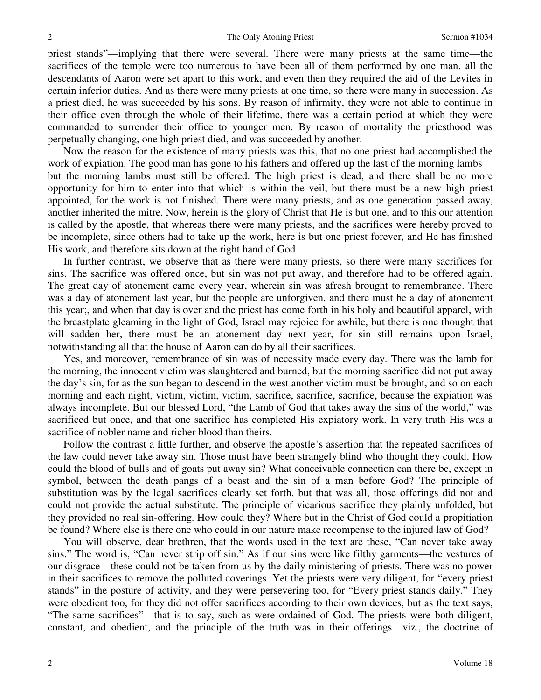priest stands"—implying that there were several. There were many priests at the same time—the sacrifices of the temple were too numerous to have been all of them performed by one man, all the descendants of Aaron were set apart to this work, and even then they required the aid of the Levites in certain inferior duties. And as there were many priests at one time, so there were many in succession. As a priest died, he was succeeded by his sons. By reason of infirmity, they were not able to continue in their office even through the whole of their lifetime, there was a certain period at which they were commanded to surrender their office to younger men. By reason of mortality the priesthood was perpetually changing, one high priest died, and was succeeded by another.

Now the reason for the existence of many priests was this, that no one priest had accomplished the work of expiation. The good man has gone to his fathers and offered up the last of the morning lambs but the morning lambs must still be offered. The high priest is dead, and there shall be no more opportunity for him to enter into that which is within the veil, but there must be a new high priest appointed, for the work is not finished. There were many priests, and as one generation passed away, another inherited the mitre. Now, herein is the glory of Christ that He is but one, and to this our attention is called by the apostle, that whereas there were many priests, and the sacrifices were hereby proved to be incomplete, since others had to take up the work, here is but one priest forever, and He has finished His work, and therefore sits down at the right hand of God.

In further contrast, we observe that as there were many priests, so there were many sacrifices for sins. The sacrifice was offered once, but sin was not put away, and therefore had to be offered again. The great day of atonement came every year, wherein sin was afresh brought to remembrance. There was a day of atonement last year, but the people are unforgiven, and there must be a day of atonement this year;, and when that day is over and the priest has come forth in his holy and beautiful apparel, with the breastplate gleaming in the light of God, Israel may rejoice for awhile, but there is one thought that will sadden her, there must be an atonement day next year, for sin still remains upon Israel, notwithstanding all that the house of Aaron can do by all their sacrifices.

Yes, and moreover, remembrance of sin was of necessity made every day. There was the lamb for the morning, the innocent victim was slaughtered and burned, but the morning sacrifice did not put away the day's sin, for as the sun began to descend in the west another victim must be brought, and so on each morning and each night, victim, victim, victim, sacrifice, sacrifice, sacrifice, because the expiation was always incomplete. But our blessed Lord, "the Lamb of God that takes away the sins of the world," was sacrificed but once, and that one sacrifice has completed His expiatory work. In very truth His was a sacrifice of nobler name and richer blood than theirs.

Follow the contrast a little further, and observe the apostle's assertion that the repeated sacrifices of the law could never take away sin. Those must have been strangely blind who thought they could. How could the blood of bulls and of goats put away sin? What conceivable connection can there be, except in symbol, between the death pangs of a beast and the sin of a man before God? The principle of substitution was by the legal sacrifices clearly set forth, but that was all, those offerings did not and could not provide the actual substitute. The principle of vicarious sacrifice they plainly unfolded, but they provided no real sin-offering. How could they? Where but in the Christ of God could a propitiation be found? Where else is there one who could in our nature make recompense to the injured law of God?

You will observe, dear brethren, that the words used in the text are these, "Can never take away sins." The word is, "Can never strip off sin." As if our sins were like filthy garments—the vestures of our disgrace—these could not be taken from us by the daily ministering of priests. There was no power in their sacrifices to remove the polluted coverings. Yet the priests were very diligent, for "every priest stands" in the posture of activity, and they were persevering too, for "Every priest stands daily." They were obedient too, for they did not offer sacrifices according to their own devices, but as the text says, "The same sacrifices"—that is to say, such as were ordained of God. The priests were both diligent, constant, and obedient, and the principle of the truth was in their offerings—viz., the doctrine of

2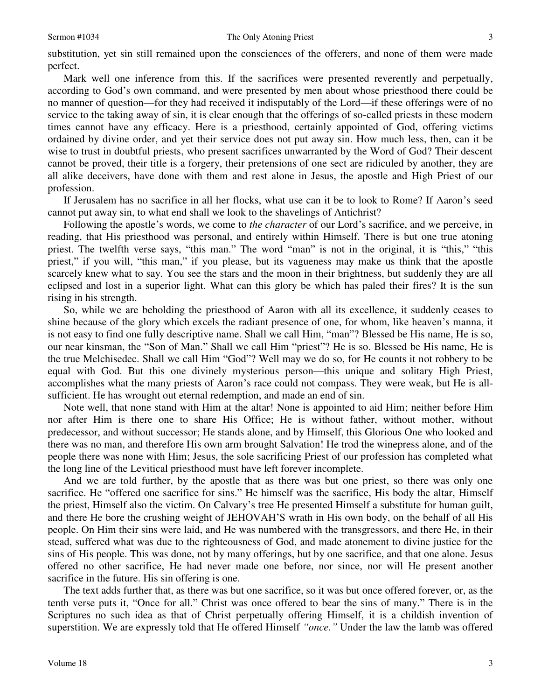substitution, yet sin still remained upon the consciences of the offerers, and none of them were made perfect.

Mark well one inference from this. If the sacrifices were presented reverently and perpetually, according to God's own command, and were presented by men about whose priesthood there could be no manner of question—for they had received it indisputably of the Lord—if these offerings were of no service to the taking away of sin, it is clear enough that the offerings of so-called priests in these modern times cannot have any efficacy. Here is a priesthood, certainly appointed of God, offering victims ordained by divine order, and yet their service does not put away sin. How much less, then, can it be wise to trust in doubtful priests, who present sacrifices unwarranted by the Word of God? Their descent cannot be proved, their title is a forgery, their pretensions of one sect are ridiculed by another, they are all alike deceivers, have done with them and rest alone in Jesus, the apostle and High Priest of our profession.

If Jerusalem has no sacrifice in all her flocks, what use can it be to look to Rome? If Aaron's seed cannot put away sin, to what end shall we look to the shavelings of Antichrist?

Following the apostle's words, we come to *the character* of our Lord's sacrifice, and we perceive, in reading, that His priesthood was personal, and entirely within Himself. There is but one true atoning priest. The twelfth verse says, "this man." The word "man" is not in the original, it is "this," "this priest," if you will, "this man," if you please, but its vagueness may make us think that the apostle scarcely knew what to say. You see the stars and the moon in their brightness, but suddenly they are all eclipsed and lost in a superior light. What can this glory be which has paled their fires? It is the sun rising in his strength.

So, while we are beholding the priesthood of Aaron with all its excellence, it suddenly ceases to shine because of the glory which excels the radiant presence of one, for whom, like heaven's manna, it is not easy to find one fully descriptive name. Shall we call Him, "man"? Blessed be His name, He is so, our near kinsman, the "Son of Man." Shall we call Him "priest"? He is so. Blessed be His name, He is the true Melchisedec. Shall we call Him "God"? Well may we do so, for He counts it not robbery to be equal with God. But this one divinely mysterious person—this unique and solitary High Priest, accomplishes what the many priests of Aaron's race could not compass. They were weak, but He is allsufficient. He has wrought out eternal redemption, and made an end of sin.

Note well, that none stand with Him at the altar! None is appointed to aid Him; neither before Him nor after Him is there one to share His Office; He is without father, without mother, without predecessor, and without successor; He stands alone, and by Himself, this Glorious One who looked and there was no man, and therefore His own arm brought Salvation! He trod the winepress alone, and of the people there was none with Him; Jesus, the sole sacrificing Priest of our profession has completed what the long line of the Levitical priesthood must have left forever incomplete.

And we are told further, by the apostle that as there was but one priest, so there was only one sacrifice. He "offered one sacrifice for sins." He himself was the sacrifice, His body the altar, Himself the priest, Himself also the victim. On Calvary's tree He presented Himself a substitute for human guilt, and there He bore the crushing weight of JEHOVAH'S wrath in His own body, on the behalf of all His people. On Him their sins were laid, and He was numbered with the transgressors, and there He, in their stead, suffered what was due to the righteousness of God, and made atonement to divine justice for the sins of His people. This was done, not by many offerings, but by one sacrifice, and that one alone. Jesus offered no other sacrifice, He had never made one before, nor since, nor will He present another sacrifice in the future. His sin offering is one.

The text adds further that, as there was but one sacrifice, so it was but once offered forever, or, as the tenth verse puts it, "Once for all." Christ was once offered to bear the sins of many." There is in the Scriptures no such idea as that of Christ perpetually offering Himself, it is a childish invention of superstition. We are expressly told that He offered Himself *"once."* Under the law the lamb was offered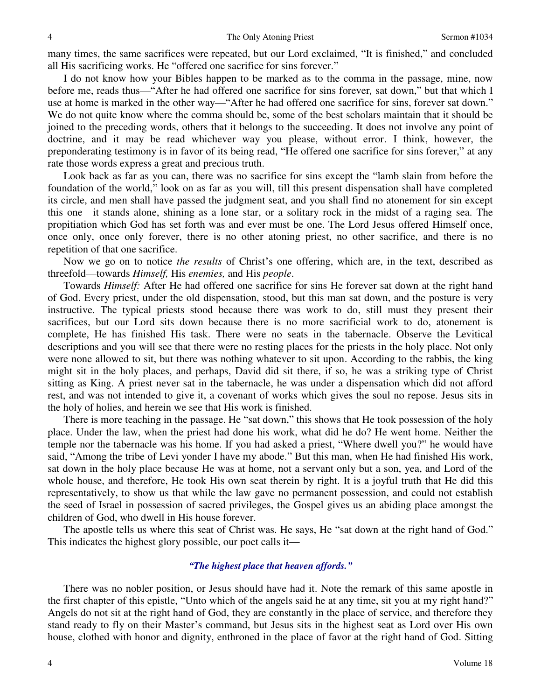many times, the same sacrifices were repeated, but our Lord exclaimed, "It is finished," and concluded all His sacrificing works. He "offered one sacrifice for sins forever."

I do not know how your Bibles happen to be marked as to the comma in the passage, mine, now before me, reads thus—"After he had offered one sacrifice for sins forever*,* sat down," but that which I use at home is marked in the other way—"After he had offered one sacrifice for sins, forever sat down." We do not quite know where the comma should be, some of the best scholars maintain that it should be joined to the preceding words, others that it belongs to the succeeding. It does not involve any point of doctrine, and it may be read whichever way you please, without error. I think, however, the preponderating testimony is in favor of its being read, "He offered one sacrifice for sins forever," at any rate those words express a great and precious truth.

Look back as far as you can, there was no sacrifice for sins except the "lamb slain from before the foundation of the world," look on as far as you will, till this present dispensation shall have completed its circle, and men shall have passed the judgment seat, and you shall find no atonement for sin except this one—it stands alone, shining as a lone star, or a solitary rock in the midst of a raging sea. The propitiation which God has set forth was and ever must be one. The Lord Jesus offered Himself once, once only, once only forever, there is no other atoning priest, no other sacrifice, and there is no repetition of that one sacrifice.

Now we go on to notice *the results* of Christ's one offering, which are, in the text, described as threefold—towards *Himself,* His *enemies,* and His *people*.

Towards *Himself:* After He had offered one sacrifice for sins He forever sat down at the right hand of God. Every priest, under the old dispensation, stood, but this man sat down, and the posture is very instructive. The typical priests stood because there was work to do, still must they present their sacrifices, but our Lord sits down because there is no more sacrificial work to do, atonement is complete, He has finished His task. There were no seats in the tabernacle. Observe the Levitical descriptions and you will see that there were no resting places for the priests in the holy place. Not only were none allowed to sit, but there was nothing whatever to sit upon. According to the rabbis, the king might sit in the holy places, and perhaps, David did sit there, if so, he was a striking type of Christ sitting as King. A priest never sat in the tabernacle, he was under a dispensation which did not afford rest, and was not intended to give it, a covenant of works which gives the soul no repose. Jesus sits in the holy of holies, and herein we see that His work is finished.

There is more teaching in the passage. He "sat down," this shows that He took possession of the holy place. Under the law, when the priest had done his work, what did he do? He went home. Neither the temple nor the tabernacle was his home. If you had asked a priest, "Where dwell you?" he would have said, "Among the tribe of Levi yonder I have my abode." But this man, when He had finished His work, sat down in the holy place because He was at home, not a servant only but a son, yea, and Lord of the whole house, and therefore, He took His own seat therein by right. It is a joyful truth that He did this representatively, to show us that while the law gave no permanent possession, and could not establish the seed of Israel in possession of sacred privileges, the Gospel gives us an abiding place amongst the children of God, who dwell in His house forever.

The apostle tells us where this seat of Christ was. He says, He "sat down at the right hand of God." This indicates the highest glory possible, our poet calls it—

## *"The highest place that heaven affords."*

 There was no nobler position, or Jesus should have had it. Note the remark of this same apostle in the first chapter of this epistle, "Unto which of the angels said he at any time, sit you at my right hand?" Angels do not sit at the right hand of God, they are constantly in the place of service, and therefore they stand ready to fly on their Master's command, but Jesus sits in the highest seat as Lord over His own house, clothed with honor and dignity, enthroned in the place of favor at the right hand of God. Sitting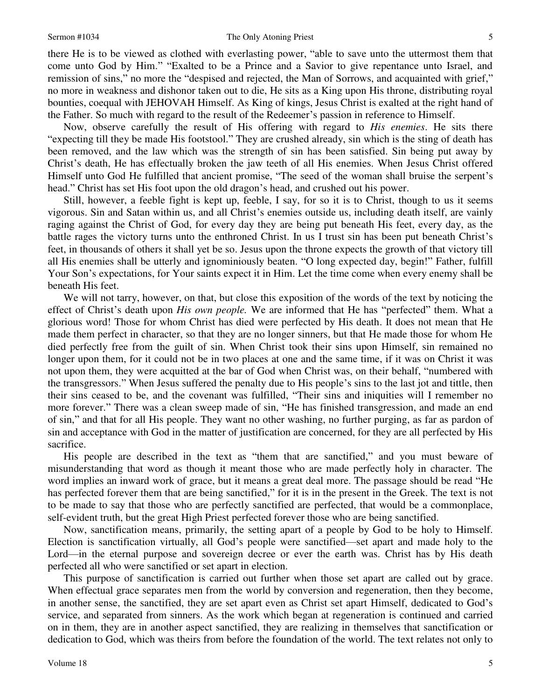#### Sermon #1034 The Only Atoning Priest

there He is to be viewed as clothed with everlasting power, "able to save unto the uttermost them that come unto God by Him." "Exalted to be a Prince and a Savior to give repentance unto Israel, and remission of sins," no more the "despised and rejected, the Man of Sorrows, and acquainted with grief," no more in weakness and dishonor taken out to die, He sits as a King upon His throne, distributing royal bounties, coequal with JEHOVAH Himself. As King of kings, Jesus Christ is exalted at the right hand of the Father. So much with regard to the result of the Redeemer's passion in reference to Himself.

Now, observe carefully the result of His offering with regard to *His enemies*. He sits there "expecting till they be made His footstool." They are crushed already, sin which is the sting of death has been removed, and the law which was the strength of sin has been satisfied. Sin being put away by Christ's death, He has effectually broken the jaw teeth of all His enemies. When Jesus Christ offered Himself unto God He fulfilled that ancient promise, "The seed of the woman shall bruise the serpent's head." Christ has set His foot upon the old dragon's head, and crushed out his power.

Still, however, a feeble fight is kept up, feeble, I say, for so it is to Christ, though to us it seems vigorous. Sin and Satan within us, and all Christ's enemies outside us, including death itself, are vainly raging against the Christ of God, for every day they are being put beneath His feet, every day, as the battle rages the victory turns unto the enthroned Christ. In us I trust sin has been put beneath Christ's feet, in thousands of others it shall yet be so. Jesus upon the throne expects the growth of that victory till all His enemies shall be utterly and ignominiously beaten. "O long expected day, begin!" Father, fulfill Your Son's expectations, for Your saints expect it in Him. Let the time come when every enemy shall be beneath His feet.

We will not tarry, however, on that, but close this exposition of the words of the text by noticing the effect of Christ's death upon *His own people.* We are informed that He has "perfected" them. What a glorious word! Those for whom Christ has died were perfected by His death. It does not mean that He made them perfect in character, so that they are no longer sinners, but that He made those for whom He died perfectly free from the guilt of sin. When Christ took their sins upon Himself, sin remained no longer upon them, for it could not be in two places at one and the same time, if it was on Christ it was not upon them, they were acquitted at the bar of God when Christ was, on their behalf, "numbered with the transgressors." When Jesus suffered the penalty due to His people's sins to the last jot and tittle, then their sins ceased to be, and the covenant was fulfilled, "Their sins and iniquities will I remember no more forever." There was a clean sweep made of sin, "He has finished transgression, and made an end of sin," and that for all His people. They want no other washing, no further purging, as far as pardon of sin and acceptance with God in the matter of justification are concerned, for they are all perfected by His sacrifice.

His people are described in the text as "them that are sanctified," and you must beware of misunderstanding that word as though it meant those who are made perfectly holy in character. The word implies an inward work of grace, but it means a great deal more. The passage should be read "He has perfected forever them that are being sanctified," for it is in the present in the Greek. The text is not to be made to say that those who are perfectly sanctified are perfected, that would be a commonplace, self-evident truth, but the great High Priest perfected forever those who are being sanctified.

Now, sanctification means, primarily, the setting apart of a people by God to be holy to Himself. Election is sanctification virtually, all God's people were sanctified—set apart and made holy to the Lord—in the eternal purpose and sovereign decree or ever the earth was. Christ has by His death perfected all who were sanctified or set apart in election.

This purpose of sanctification is carried out further when those set apart are called out by grace. When effectual grace separates men from the world by conversion and regeneration, then they become, in another sense, the sanctified, they are set apart even as Christ set apart Himself, dedicated to God's service, and separated from sinners. As the work which began at regeneration is continued and carried on in them, they are in another aspect sanctified, they are realizing in themselves that sanctification or dedication to God, which was theirs from before the foundation of the world. The text relates not only to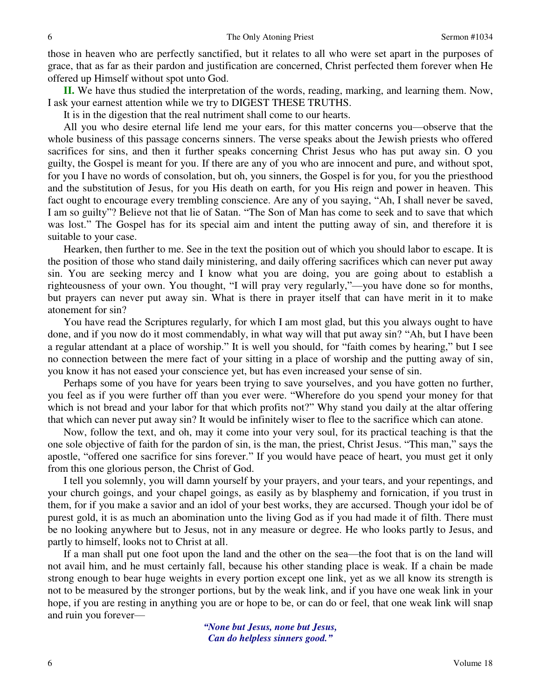those in heaven who are perfectly sanctified, but it relates to all who were set apart in the purposes of grace, that as far as their pardon and justification are concerned, Christ perfected them forever when He offered up Himself without spot unto God.

**II.** We have thus studied the interpretation of the words, reading, marking, and learning them. Now, I ask your earnest attention while we try to DIGEST THESE TRUTHS.

It is in the digestion that the real nutriment shall come to our hearts.

All you who desire eternal life lend me your ears, for this matter concerns you—observe that the whole business of this passage concerns sinners. The verse speaks about the Jewish priests who offered sacrifices for sins, and then it further speaks concerning Christ Jesus who has put away sin. O you guilty, the Gospel is meant for you. If there are any of you who are innocent and pure, and without spot, for you I have no words of consolation, but oh, you sinners, the Gospel is for you, for you the priesthood and the substitution of Jesus, for you His death on earth, for you His reign and power in heaven. This fact ought to encourage every trembling conscience. Are any of you saying, "Ah, I shall never be saved, I am so guilty"? Believe not that lie of Satan. "The Son of Man has come to seek and to save that which was lost." The Gospel has for its special aim and intent the putting away of sin, and therefore it is suitable to your case.

Hearken, then further to me. See in the text the position out of which you should labor to escape. It is the position of those who stand daily ministering, and daily offering sacrifices which can never put away sin. You are seeking mercy and I know what you are doing, you are going about to establish a righteousness of your own. You thought, "I will pray very regularly,"—you have done so for months, but prayers can never put away sin. What is there in prayer itself that can have merit in it to make atonement for sin?

You have read the Scriptures regularly, for which I am most glad, but this you always ought to have done, and if you now do it most commendably, in what way will that put away sin? "Ah, but I have been a regular attendant at a place of worship." It is well you should, for "faith comes by hearing," but I see no connection between the mere fact of your sitting in a place of worship and the putting away of sin, you know it has not eased your conscience yet, but has even increased your sense of sin.

Perhaps some of you have for years been trying to save yourselves, and you have gotten no further, you feel as if you were further off than you ever were. "Wherefore do you spend your money for that which is not bread and your labor for that which profits not?" Why stand you daily at the altar offering that which can never put away sin? It would be infinitely wiser to flee to the sacrifice which can atone.

Now, follow the text, and oh, may it come into your very soul, for its practical teaching is that the one sole objective of faith for the pardon of sin, is the man, the priest, Christ Jesus. "This man," says the apostle, "offered one sacrifice for sins forever." If you would have peace of heart, you must get it only from this one glorious person, the Christ of God.

I tell you solemnly, you will damn yourself by your prayers, and your tears, and your repentings, and your church goings, and your chapel goings, as easily as by blasphemy and fornication, if you trust in them, for if you make a savior and an idol of your best works, they are accursed. Though your idol be of purest gold, it is as much an abomination unto the living God as if you had made it of filth. There must be no looking anywhere but to Jesus, not in any measure or degree. He who looks partly to Jesus, and partly to himself, looks not to Christ at all.

If a man shall put one foot upon the land and the other on the sea—the foot that is on the land will not avail him, and he must certainly fall, because his other standing place is weak. If a chain be made strong enough to bear huge weights in every portion except one link, yet as we all know its strength is not to be measured by the stronger portions, but by the weak link, and if you have one weak link in your hope, if you are resting in anything you are or hope to be, or can do or feel, that one weak link will snap and ruin you forever—

> *"None but Jesus, none but Jesus, Can do helpless sinners good."*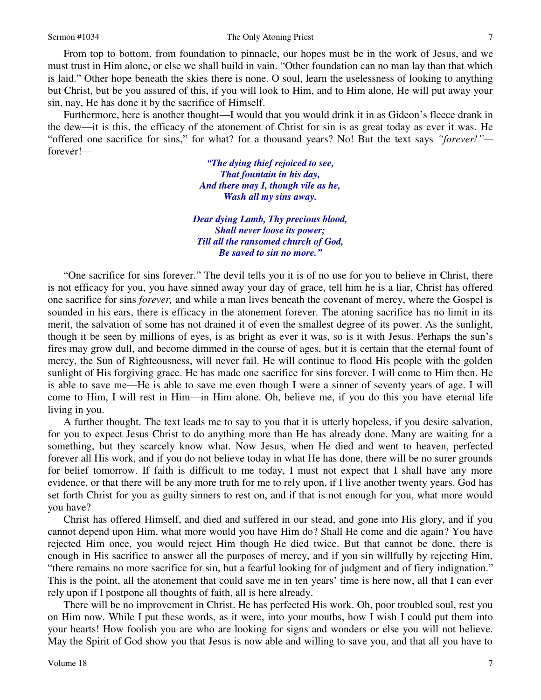From top to bottom, from foundation to pinnacle, our hopes must be in the work of Jesus, and we must trust in Him alone, or else we shall build in vain. "Other foundation can no man lay than that which is laid." Other hope beneath the skies there is none. O soul, learn the uselessness of looking to anything but Christ, but be you assured of this, if you will look to Him, and to Him alone, He will put away your sin, nay, He has done it by the sacrifice of Himself.

Furthermore, here is another thought—I would that you would drink it in as Gideon's fleece drank in the dew—it is this, the efficacy of the atonement of Christ for sin is as great today as ever it was. He "offered one sacrifice for sins," for what? for a thousand years? No! But the text says *"forever!"* forever!—

> *"The dying thief rejoiced to see, That fountain in his day, And there may I, though vile as he, Wash all my sins away.*

*Dear dying Lamb, Thy precious blood, Shall never loose its power; Till all the ransomed church of God, Be saved to sin no more."*

"One sacrifice for sins forever." The devil tells you it is of no use for you to believe in Christ, there is not efficacy for you, you have sinned away your day of grace, tell him he is a liar, Christ has offered one sacrifice for sins *forever,* and while a man lives beneath the covenant of mercy, where the Gospel is sounded in his ears, there is efficacy in the atonement forever. The atoning sacrifice has no limit in its merit, the salvation of some has not drained it of even the smallest degree of its power. As the sunlight, though it be seen by millions of eyes, is as bright as ever it was, so is it with Jesus. Perhaps the sun's fires may grow dull, and become dimmed in the course of ages, but it is certain that the eternal fount of mercy, the Sun of Righteousness, will never fail. He will continue to flood His people with the golden sunlight of His forgiving grace. He has made one sacrifice for sins forever. I will come to Him then. He is able to save me—He is able to save me even though I were a sinner of seventy years of age. I will come to Him, I will rest in Him—in Him alone. Oh, believe me, if you do this you have eternal life living in you.

A further thought. The text leads me to say to you that it is utterly hopeless, if you desire salvation, for you to expect Jesus Christ to do anything more than He has already done. Many are waiting for a something, but they scarcely know what. Now Jesus, when He died and went to heaven, perfected forever all His work, and if you do not believe today in what He has done, there will be no surer grounds for belief tomorrow. If faith is difficult to me today, I must not expect that I shall have any more evidence, or that there will be any more truth for me to rely upon, if I live another twenty years. God has set forth Christ for you as guilty sinners to rest on, and if that is not enough for you, what more would you have?

Christ has offered Himself, and died and suffered in our stead, and gone into His glory, and if you cannot depend upon Him, what more would you have Him do? Shall He come and die again? You have rejected Him once, you would reject Him though He died twice. But that cannot be done, there is enough in His sacrifice to answer all the purposes of mercy, and if you sin willfully by rejecting Him, "there remains no more sacrifice for sin, but a fearful looking for of judgment and of fiery indignation." This is the point, all the atonement that could save me in ten years' time is here now, all that I can ever rely upon if I postpone all thoughts of faith, all is here already.

There will be no improvement in Christ. He has perfected His work. Oh, poor troubled soul, rest you on Him now. While I put these words, as it were, into your mouths, how I wish I could put them into your hearts! How foolish you are who are looking for signs and wonders or else you will not believe. May the Spirit of God show you that Jesus is now able and willing to save you, and that all you have to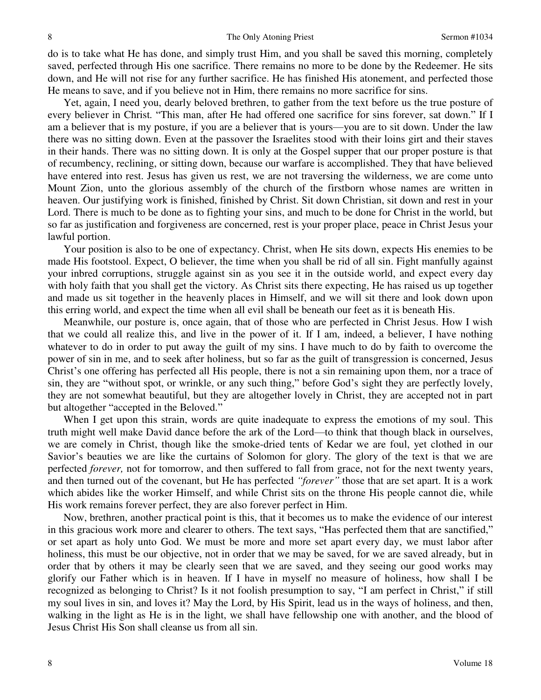do is to take what He has done, and simply trust Him, and you shall be saved this morning, completely saved, perfected through His one sacrifice. There remains no more to be done by the Redeemer. He sits down, and He will not rise for any further sacrifice. He has finished His atonement, and perfected those He means to save, and if you believe not in Him, there remains no more sacrifice for sins.

Yet, again, I need you, dearly beloved brethren, to gather from the text before us the true posture of every believer in Christ*.* "This man, after He had offered one sacrifice for sins forever, sat down." If I am a believer that is my posture, if you are a believer that is yours—you are to sit down. Under the law there was no sitting down. Even at the passover the Israelites stood with their loins girt and their staves in their hands. There was no sitting down. It is only at the Gospel supper that our proper posture is that of recumbency, reclining, or sitting down, because our warfare is accomplished. They that have believed have entered into rest. Jesus has given us rest, we are not traversing the wilderness, we are come unto Mount Zion, unto the glorious assembly of the church of the firstborn whose names are written in heaven. Our justifying work is finished, finished by Christ. Sit down Christian, sit down and rest in your Lord. There is much to be done as to fighting your sins, and much to be done for Christ in the world, but so far as justification and forgiveness are concerned, rest is your proper place, peace in Christ Jesus your lawful portion.

Your position is also to be one of expectancy. Christ, when He sits down, expects His enemies to be made His footstool. Expect, O believer, the time when you shall be rid of all sin. Fight manfully against your inbred corruptions, struggle against sin as you see it in the outside world, and expect every day with holy faith that you shall get the victory. As Christ sits there expecting, He has raised us up together and made us sit together in the heavenly places in Himself, and we will sit there and look down upon this erring world, and expect the time when all evil shall be beneath our feet as it is beneath His.

Meanwhile, our posture is, once again, that of those who are perfected in Christ Jesus. How I wish that we could all realize this, and live in the power of it. If I am, indeed, a believer, I have nothing whatever to do in order to put away the guilt of my sins. I have much to do by faith to overcome the power of sin in me, and to seek after holiness, but so far as the guilt of transgression is concerned, Jesus Christ's one offering has perfected all His people, there is not a sin remaining upon them, nor a trace of sin, they are "without spot, or wrinkle, or any such thing," before God's sight they are perfectly lovely, they are not somewhat beautiful, but they are altogether lovely in Christ, they are accepted not in part but altogether "accepted in the Beloved."

When I get upon this strain, words are quite inadequate to express the emotions of my soul. This truth might well make David dance before the ark of the Lord—to think that though black in ourselves, we are comely in Christ, though like the smoke-dried tents of Kedar we are foul, yet clothed in our Savior's beauties we are like the curtains of Solomon for glory. The glory of the text is that we are perfected *forever,* not for tomorrow, and then suffered to fall from grace, not for the next twenty years, and then turned out of the covenant, but He has perfected *"forever"* those that are set apart. It is a work which abides like the worker Himself, and while Christ sits on the throne His people cannot die, while His work remains forever perfect, they are also forever perfect in Him.

Now, brethren, another practical point is this, that it becomes us to make the evidence of our interest in this gracious work more and clearer to others. The text says, "Has perfected them that are sanctified," or set apart as holy unto God. We must be more and more set apart every day, we must labor after holiness, this must be our objective, not in order that we may be saved, for we are saved already, but in order that by others it may be clearly seen that we are saved, and they seeing our good works may glorify our Father which is in heaven. If I have in myself no measure of holiness, how shall I be recognized as belonging to Christ? Is it not foolish presumption to say, "I am perfect in Christ," if still my soul lives in sin, and loves it? May the Lord, by His Spirit, lead us in the ways of holiness, and then, walking in the light as He is in the light, we shall have fellowship one with another, and the blood of Jesus Christ His Son shall cleanse us from all sin.